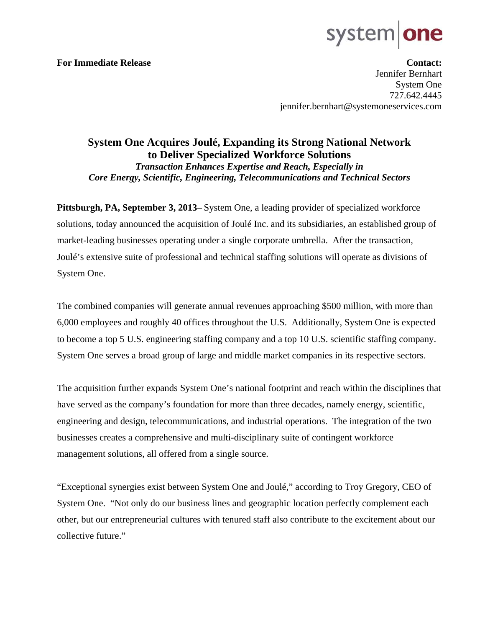## system

**For Immediate Release Contact: Contact: Contact: Contact: Contact: Contact: Contact: Contact: Contact: Contact: Contact: Contact: Contact: Contact: Contact: Contact: Contact: Contact: C** Jennifer Bernhart System One 727.642.4445 jennifer.bernhart@systemoneservices.com

### **System One Acquires Joulé, Expanding its Strong National Network to Deliver Specialized Workforce Solutions**  *Transaction Enhances Expertise and Reach, Especially in Core Energy, Scientific, Engineering, Telecommunications and Technical Sectors*

**Pittsburgh, PA, September 3, 2013**– System One, a leading provider of specialized workforce solutions, today announced the acquisition of Joulé Inc. and its subsidiaries, an established group of market-leading businesses operating under a single corporate umbrella. After the transaction, Joulé's extensive suite of professional and technical staffing solutions will operate as divisions of System One.

The combined companies will generate annual revenues approaching \$500 million, with more than 6,000 employees and roughly 40 offices throughout the U.S. Additionally, System One is expected to become a top 5 U.S. engineering staffing company and a top 10 U.S. scientific staffing company. System One serves a broad group of large and middle market companies in its respective sectors.

The acquisition further expands System One's national footprint and reach within the disciplines that have served as the company's foundation for more than three decades, namely energy, scientific, engineering and design, telecommunications, and industrial operations. The integration of the two businesses creates a comprehensive and multi-disciplinary suite of contingent workforce management solutions, all offered from a single source.

"Exceptional synergies exist between System One and Joulé," according to Troy Gregory, CEO of System One. "Not only do our business lines and geographic location perfectly complement each other, but our entrepreneurial cultures with tenured staff also contribute to the excitement about our collective future."